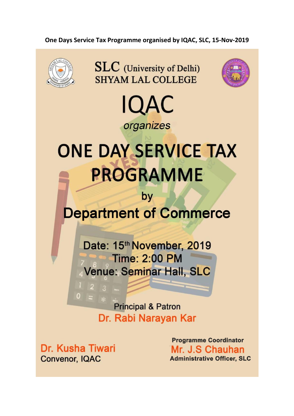### One Days Service Tax Programme organised by IQAC, SLC, 15-Nov-2019



**SLC** (University of Delhi) **SHYAM LAL COLLEGE** 





# **ONE DAY SERVICE TAX PROGRAMME**

## by **Department of Commerce**

Date: 15th November, 2019 **Time: 2:00 PM Venue: Seminar Hall, SLC** 

> **Principal & Patron** Dr. Rabi Narayan Kar

Dr. Kusha Tiwari **Convenor, IQAC** 

 $\overline{0}$ 

**Programme Coordinator** Mr. J.S Chauhan **Administrative Officer, SLC**